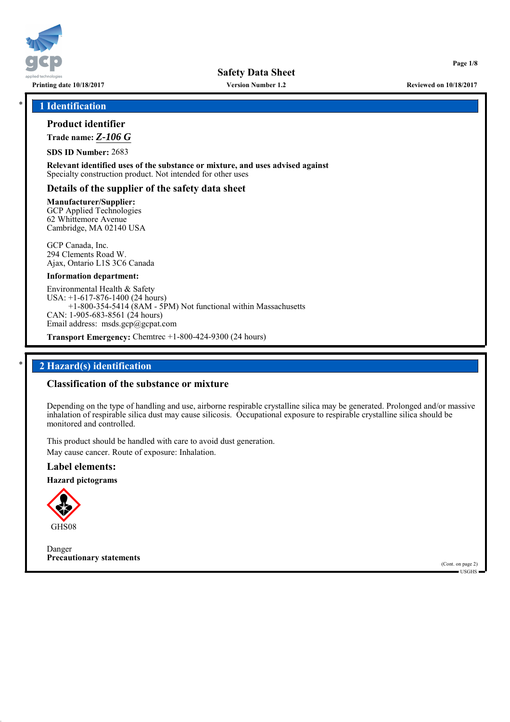

**Version Number 1.2**

\* **1 Identification**

## **Product identifier**

**Trade name:** *Z-106 G*

**SDS ID Number:** 2683

**Relevant identified uses of the substance or mixture, and uses advised against** Specialty construction product. Not intended for other uses

## **Details of the supplier of the safety data sheet**

**Manufacturer/Supplier:** GCP Applied Technologies 62 Whittemore Avenue Cambridge, MA 02140 USA

GCP Canada, Inc. 294 Clements Road W. Ajax, Ontario L1S 3C6 Canada

#### **Information department:**

Environmental Health & Safety USA: +1-617-876-1400 (24 hours) +1-800-354-5414 (8AM - 5PM) Not functional within Massachusetts CAN: 1-905-683-8561 (24 hours) Email address: msds.gcp@gcpat.com

**Transport Emergency:** Chemtrec +1-800-424-9300 (24 hours)

## \* **2 Hazard(s) identification**

## **Classification of the substance or mixture**

Depending on the type of handling and use, airborne respirable crystalline silica may be generated. Prolonged and/or massive inhalation of respirable silica dust may cause silicosis. Occupational exposure to respirable crystalline silica should be monitored and controlled.

This product should be handled with care to avoid dust generation. May cause cancer. Route of exposure: Inhalation.

## **Label elements:**

**Hazard pictograms**



Danger **Precautionary statements**

(Cont. on page 2) USGHS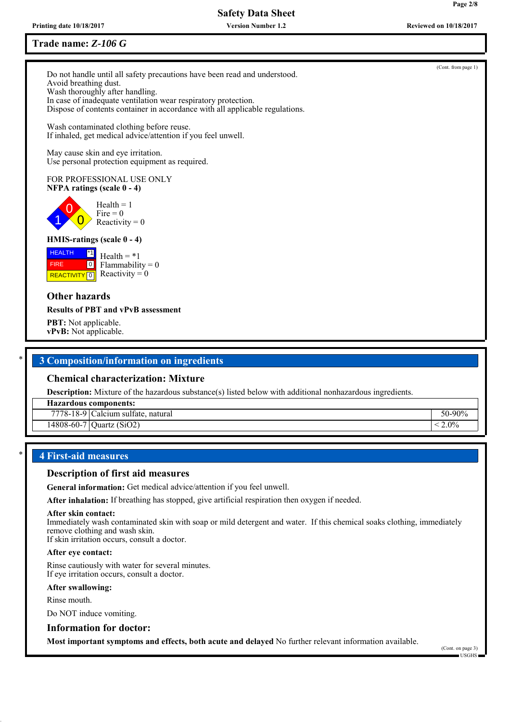**Printing date 10/18/2017 Reviewed on 10/18/2017 Version Number 1.2**

## **Trade name:** *Z-106 G*

Do not handle until all safety precautions have been read and understood. Avoid breathing dust. Wash thoroughly after handling. In case of inadequate ventilation wear respiratory protection. Dispose of contents container in accordance with all applicable regulations.

Wash contaminated clothing before reuse. If inhaled, get medical advice/attention if you feel unwell.

May cause skin and eye irritation. Use personal protection equipment as required.

#### FOR PROFESSIONAL USE ONLY **NFPA ratings (scale 0 - 4)**

0  $\overline{0}$  $Health = 1$ Fire  $= 0$ Reactivity  $= 0$ 

## **HMIS-ratings (scale 0 - 4)**

**HEALTH REACTIVITY** 0 \*1  $\boxed{0}$  $Health = *1$ Flammability  $= 0$ Reactivity  $= 0$ 

## **Other hazards**

1

FIRE

#### **Results of PBT and vPvB assessment**

**PBT:** Not applicable. **vPvB:** Not applicable.

## \* **3 Composition/information on ingredients**

## **Chemical characterization: Mixture**

**Description:** Mixture of the hazardous substance(s) listed below with additional nonhazardous ingredients.

**Hazardous components:**

| 7778-18-9 IC<br>Calcium sulfate,<br>natural | $.90\%$<br>50- |
|---------------------------------------------|----------------|
|---------------------------------------------|----------------|

 $14808-60-7$  Quartz (SiO2)  $\leq 2.0\%$ 

## \* **4 First-aid measures**

#### **Description of first aid measures**

**General information:** Get medical advice/attention if you feel unwell.

**After inhalation:** If breathing has stopped, give artificial respiration then oxygen if needed.

#### **After skin contact:**

Immediately wash contaminated skin with soap or mild detergent and water. If this chemical soaks clothing, immediately remove clothing and wash skin.

If skin irritation occurs, consult a doctor.

#### **After eye contact:**

Rinse cautiously with water for several minutes. If eye irritation occurs, consult a doctor.

#### **After swallowing:**

Rinse mouth.

Do NOT induce vomiting.

### **Information for doctor:**

**Most important symptoms and effects, both acute and delayed** No further relevant information available.

(Cont. on page 3) USGHS

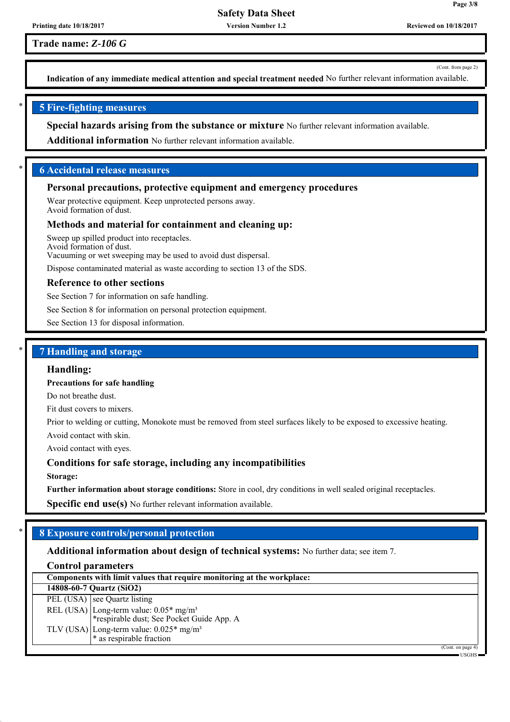**Version Number 1.2**

**Trade name:** *Z-106 G*

(Cont. from page 2)

**Page 3/8**

**Indication of any immediate medical attention and special treatment needed** No further relevant information available.

## \* **5 Fire-fighting measures**

**Special hazards arising from the substance or mixture** No further relevant information available.

**Additional information** No further relevant information available.

## \* **6 Accidental release measures**

#### **Personal precautions, protective equipment and emergency procedures**

Wear protective equipment. Keep unprotected persons away. Avoid formation of dust.

#### **Methods and material for containment and cleaning up:**

Sweep up spilled product into receptacles. Avoid formation of dust. Vacuuming or wet sweeping may be used to avoid dust dispersal.

Dispose contaminated material as waste according to section 13 of the SDS.

#### **Reference to other sections**

See Section 7 for information on safe handling.

See Section 8 for information on personal protection equipment.

See Section 13 for disposal information.

### \* **7 Handling and storage**

#### **Handling:**

#### **Precautions for safe handling**

Do not breathe dust.

Fit dust covers to mixers.

Prior to welding or cutting, Monokote must be removed from steel surfaces likely to be exposed to excessive heating.

Avoid contact with skin.

Avoid contact with eyes.

#### **Conditions for safe storage, including any incompatibilities**

**Storage:**

**Further information about storage conditions:** Store in cool, dry conditions in well sealed original receptacles.

**Specific end use(s)** No further relevant information available.

## \* **8 Exposure controls/personal protection**

#### **Additional information about design of technical systems:** No further data; see item 7.

#### **Control parameters**

| Components with limit values that require monitoring at the workplace:                          |                        |
|-------------------------------------------------------------------------------------------------|------------------------|
| 14808-60-7 Quartz (SiO2)                                                                        |                        |
| $\overline{PEL (USA)}$ see Quartz listing                                                       |                        |
| REL (USA) Long-term value: 0.05* mg/m <sup>3</sup><br>*respirable dust; See Pocket Guide App. A |                        |
| TLV (USA) Long-term value: $0.025*$ mg/m <sup>3</sup><br>* as respirable fraction               |                        |
|                                                                                                 | (Cont. on page 4)      |
|                                                                                                 | $USGHS$ $\blacksquare$ |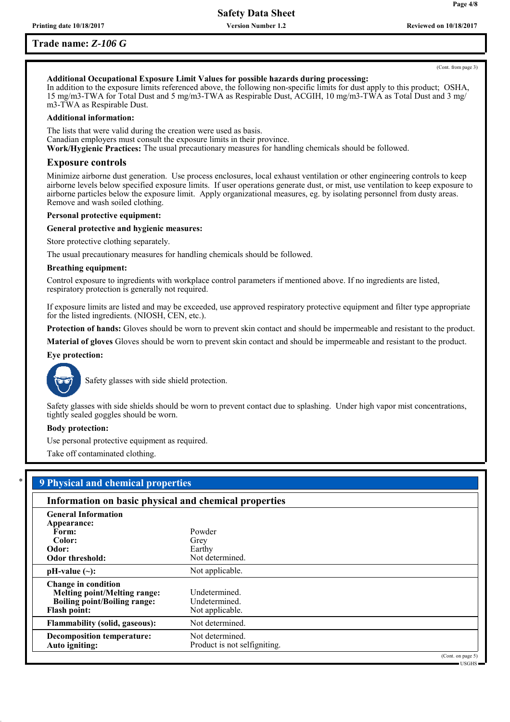**Version Number 1.2**

## **Trade name:** *Z-106 G*

**Page 4/8**

## **Additional Occupational Exposure Limit Values for possible hazards during processing:**

In addition to the exposure limits referenced above, the following non-specific limits for dust apply to this product; OSHA, 15 mg/m3-TWA for Total Dust and 5 mg/m3-TWA as Respirable Dust, ACGIH, 10 mg/m3-TWA as Total Dust and 3 mg/ m3-TWA as Respirable Dust.

#### **Additional information:**

The lists that were valid during the creation were used as basis. Canadian employers must consult the exposure limits in their province. **Work/Hygienic Practices:** The usual precautionary measures for handling chemicals should be followed.

#### **Exposure controls**

Minimize airborne dust generation. Use process enclosures, local exhaust ventilation or other engineering controls to keep airborne levels below specified exposure limits. If user operations generate dust, or mist, use ventilation to keep exposure to airborne particles below the exposure limit. Apply organizational measures, eg. by isolating personnel from dusty areas. Remove and wash soiled clothing.

#### **Personal protective equipment:**

#### **General protective and hygienic measures:**

Store protective clothing separately.

The usual precautionary measures for handling chemicals should be followed.

#### **Breathing equipment:**

Control exposure to ingredients with workplace control parameters if mentioned above. If no ingredients are listed, respiratory protection is generally not required.

If exposure limits are listed and may be exceeded, use approved respiratory protective equipment and filter type appropriate for the listed ingredients. (NIOSH, CEN, etc.).

**Protection of hands:** Gloves should be worn to prevent skin contact and should be impermeable and resistant to the product.

**Material of gloves** Gloves should be worn to prevent skin contact and should be impermeable and resistant to the product.

#### **Eye protection:**



Safety glasses with side shield protection.

Safety glasses with side shields should be worn to prevent contact due to splashing. Under high vapor mist concentrations, tightly sealed goggles should be worn.

#### **Body protection:**

Use personal protective equipment as required.

Take off contaminated clothing.

| Information on basic physical and chemical properties |                              |  |
|-------------------------------------------------------|------------------------------|--|
| <b>General Information</b>                            |                              |  |
| Appearance:                                           |                              |  |
| Form:                                                 | Powder                       |  |
| Color:                                                | Grey                         |  |
| Odor:                                                 | Earthy                       |  |
| Odor threshold:                                       | Not determined.              |  |
| $pH-value (\sim):$                                    | Not applicable.              |  |
| <b>Change in condition</b>                            |                              |  |
| <b>Melting point/Melting range:</b>                   | Undetermined.                |  |
| Boiling point/Boiling range:                          | Undetermined.                |  |
| <b>Flash point:</b>                                   | Not applicable.              |  |
| <b>Flammability (solid, gaseous):</b>                 | Not determined.              |  |
| <b>Decomposition temperature:</b>                     | Not determined.              |  |
| Auto igniting:                                        | Product is not selfigniting. |  |

USGHS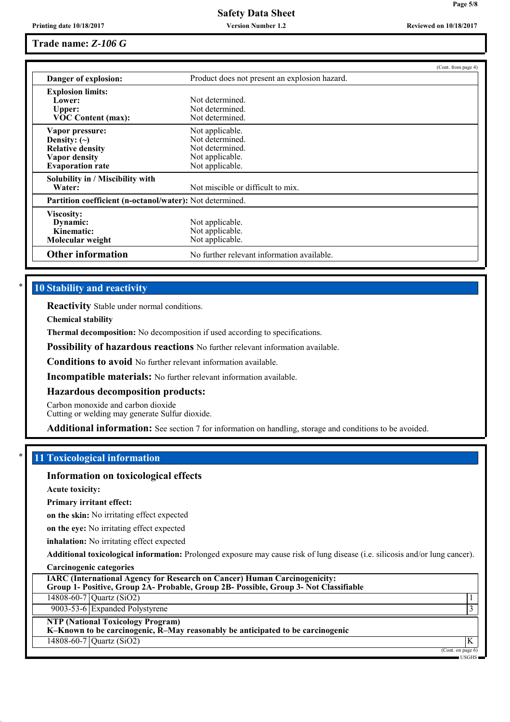**Version Number 1.2**

**Page 5/8**

## **Trade name:** *Z-106 G*

|                                                                 | (Cont. from page 4)                           |  |
|-----------------------------------------------------------------|-----------------------------------------------|--|
| Danger of explosion:                                            | Product does not present an explosion hazard. |  |
| <b>Explosion limits:</b>                                        |                                               |  |
| Lower:                                                          | Not determined                                |  |
| Upper:                                                          | Not determined.                               |  |
| <b>VOC Content (max):</b>                                       | Not determined.                               |  |
| Vapor pressure:                                                 | Not applicable.                               |  |
| Density: $(\sim)$                                               | Not determined.                               |  |
| <b>Relative density</b>                                         | Not determined.                               |  |
| <b>Vapor density</b>                                            | Not applicable.                               |  |
| <b>Evaporation rate</b>                                         | Not applicable.                               |  |
| Solubility in / Miscibility with                                |                                               |  |
| Water:                                                          | Not miscible or difficult to mix.             |  |
| <b>Partition coefficient (n-octanol/water):</b> Not determined. |                                               |  |
| Viscosity:                                                      |                                               |  |
| Dynamic:                                                        | Not applicable.                               |  |
| Kinematic:                                                      | Not applicable.                               |  |
| Molecular weight                                                | Not applicable.                               |  |
| <b>Other information</b>                                        | No further relevant information available.    |  |

## **10 Stability and reactivity**

**Reactivity** Stable under normal conditions.

**Chemical stability**

**Thermal decomposition:** No decomposition if used according to specifications.

**Possibility of hazardous reactions** No further relevant information available.

**Conditions to avoid** No further relevant information available.

**Incompatible materials:** No further relevant information available.

#### **Hazardous decomposition products:**

Carbon monoxide and carbon dioxide

Cutting or welding may generate Sulfur dioxide.

**Additional information:** See section 7 for information on handling, storage and conditions to be avoided.

## \* **11 Toxicological information**

#### **Information on toxicological effects**

**Acute toxicity:**

**Primary irritant effect:**

**on the skin:** No irritating effect expected

**on the eye:** No irritating effect expected

**inhalation:** No irritating effect expected

**Additional toxicological information:** Prolonged exposure may cause risk of lung disease (i.e. silicosis and/or lung cancer).

|  | <b>Carcinogenic categories</b> |  |
|--|--------------------------------|--|
|  |                                |  |

| <b>IARC (International Agency for Research on Cancer) Human Carcinogenicity:</b><br>Group 1- Positive, Group 2A- Probable, Group 2B- Possible, Group 3- Not Classifiable |                                          |
|--------------------------------------------------------------------------------------------------------------------------------------------------------------------------|------------------------------------------|
| 14808-60-7 Quartz (SiO2)                                                                                                                                                 |                                          |
| 9003-53-6 Expanded Polystyrene                                                                                                                                           |                                          |
| <b>NTP (National Toxicology Program)</b><br>K-Known to be carcinogenic, R-May reasonably be anticipated to be carcinogenic                                               |                                          |
| 14808-60-7 Quartz (SiO2)                                                                                                                                                 |                                          |
|                                                                                                                                                                          | (Cont. on page 6)<br>$ \mu$ $\sim$ $\mu$ |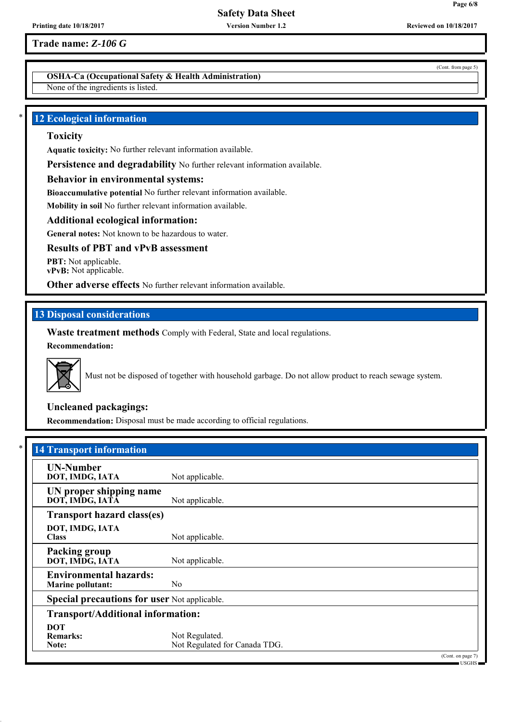**Version Number 1.2**

**Trade name:** *Z-106 G*

## **OSHA-Ca (Occupational Safety & Health Administration)**

None of the ingredients is listed.

## **12 Ecological information**

#### **Toxicity**

**Aquatic toxicity:** No further relevant information available.

Persistence and degradability No further relevant information available.

### **Behavior in environmental systems:**

**Bioaccumulative potential** No further relevant information available.

**Mobility in soil** No further relevant information available.

### **Additional ecological information:**

**General notes:** Not known to be hazardous to water.

### **Results of PBT and vPvB assessment**

**PBT:** Not applicable. **vPvB:** Not applicable.

**Other adverse effects** No further relevant information available.

## **13 Disposal considerations**

**Waste treatment methods** Comply with Federal, State and local regulations. **Recommendation:**



Must not be disposed of together with household garbage. Do not allow product to reach sewage system.

## **Uncleaned packagings:**

**Recommendation:** Disposal must be made according to official regulations.

| <b>UN-Number</b>                                    |                               |  |
|-----------------------------------------------------|-------------------------------|--|
| DOT, IMDG, IATA                                     | Not applicable.               |  |
| UN proper shipping name                             |                               |  |
| DOT, IMDG, IATA                                     | Not applicable.               |  |
| <b>Transport hazard class(es)</b>                   |                               |  |
| DOT, IMDG, IATA                                     |                               |  |
| <b>Class</b>                                        | Not applicable.               |  |
| <b>Packing group</b>                                |                               |  |
| DOT, IMDG, IATA                                     | Not applicable.               |  |
| <b>Environmental hazards:</b>                       |                               |  |
| <b>Marine pollutant:</b>                            | N <sub>0</sub>                |  |
| <b>Special precautions for user Not applicable.</b> |                               |  |
| <b>Transport/Additional information:</b>            |                               |  |
| <b>DOT</b>                                          |                               |  |
| <b>Remarks:</b>                                     | Not Regulated.                |  |
| Note:                                               | Not Regulated for Canada TDG. |  |

(Cont. from page 5)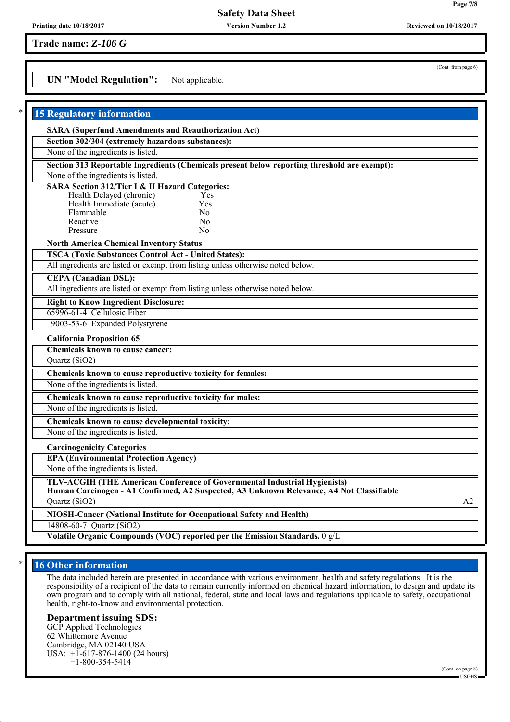**Version Number 1.2**

**Trade name:** *Z-106 G*

## **UN "Model Regulation":** Not applicable.

| <b>15 Regulatory information</b>                                                                                                                        |                                                                                                                                                                       |    |
|---------------------------------------------------------------------------------------------------------------------------------------------------------|-----------------------------------------------------------------------------------------------------------------------------------------------------------------------|----|
| <b>SARA (Superfund Amendments and Reauthorization Act)</b>                                                                                              |                                                                                                                                                                       |    |
| Section 302/304 (extremely hazardous substances):                                                                                                       |                                                                                                                                                                       |    |
| None of the ingredients is listed.                                                                                                                      |                                                                                                                                                                       |    |
|                                                                                                                                                         | Section 313 Reportable Ingredients (Chemicals present below reporting threshold are exempt):                                                                          |    |
| None of the ingredients is listed.                                                                                                                      |                                                                                                                                                                       |    |
| <b>SARA Section 312/Tier I &amp; II Hazard Categories:</b><br>Health Delayed (chronic)<br>Health Immediate (acute)<br>Flammable<br>Reactive<br>Pressure | Yes<br>Yes<br>No<br>N <sub>0</sub><br>Nο                                                                                                                              |    |
| <b>North America Chemical Inventory Status</b>                                                                                                          |                                                                                                                                                                       |    |
| <b>TSCA (Toxic Substances Control Act - United States):</b>                                                                                             |                                                                                                                                                                       |    |
|                                                                                                                                                         | All ingredients are listed or exempt from listing unless otherwise noted below.                                                                                       |    |
| <b>CEPA</b> (Canadian DSL):                                                                                                                             |                                                                                                                                                                       |    |
|                                                                                                                                                         | All ingredients are listed or exempt from listing unless otherwise noted below.                                                                                       |    |
| <b>Right to Know Ingredient Disclosure:</b>                                                                                                             |                                                                                                                                                                       |    |
| 65996-61-4 Cellulosic Fiber                                                                                                                             |                                                                                                                                                                       |    |
| 9003-53-6 Expanded Polystyrene                                                                                                                          |                                                                                                                                                                       |    |
| <b>California Proposition 65</b>                                                                                                                        |                                                                                                                                                                       |    |
| Chemicals known to cause cancer:                                                                                                                        |                                                                                                                                                                       |    |
| Quartz (SiO2)                                                                                                                                           |                                                                                                                                                                       |    |
|                                                                                                                                                         | Chemicals known to cause reproductive toxicity for females:                                                                                                           |    |
| None of the ingredients is listed.                                                                                                                      |                                                                                                                                                                       |    |
| Chemicals known to cause reproductive toxicity for males:                                                                                               |                                                                                                                                                                       |    |
| None of the ingredients is listed.                                                                                                                      |                                                                                                                                                                       |    |
| Chemicals known to cause developmental toxicity:                                                                                                        |                                                                                                                                                                       |    |
| None of the ingredients is listed.                                                                                                                      |                                                                                                                                                                       |    |
| <b>Carcinogenicity Categories</b>                                                                                                                       |                                                                                                                                                                       |    |
| <b>EPA (Environmental Protection Agency)</b>                                                                                                            |                                                                                                                                                                       |    |
| None of the ingredients is listed.                                                                                                                      |                                                                                                                                                                       |    |
|                                                                                                                                                         | TLV-ACGIH (THE American Conference of Governmental Industrial Hygienists)<br>Human Carcinogen - A1 Confirmed, A2 Suspected, A3 Unknown Relevance, A4 Not Classifiable |    |
| Quartz (SiO2)                                                                                                                                           |                                                                                                                                                                       | A2 |
|                                                                                                                                                         | NIOSH-Cancer (National Institute for Occupational Safety and Health)                                                                                                  |    |
| 14808-60-7 Quartz (SiO2)                                                                                                                                |                                                                                                                                                                       |    |
|                                                                                                                                                         | Volatile Organic Compounds (VOC) reported per the Emission Standards. 0 g/L                                                                                           |    |

## **16 Other information**

The data included herein are presented in accordance with various environment, health and safety regulations. It is the responsibility of a recipient of the data to remain currently informed on chemical hazard information, to design and update its own program and to comply with all national, federal, state and local laws and regulations applicable to safety, occupational health, right-to-know and environmental protection.

#### **Department issuing SDS:**

GCP Applied Technologies 62 Whittemore Avenue Cambridge, MA 02140 USA USA: +1-617-876-1400 (24 hours) +1-800-354-5414

(Cont. from page 6)

**Printing date 10/18/2017 Reviewed on 10/18/2017**